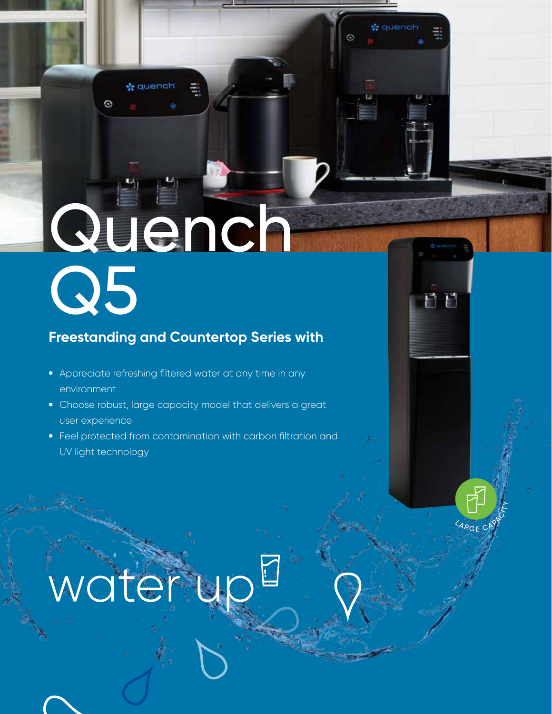# Quench Q5

**de quench** 

Θ

### **Freestanding and Countertop Series with**

- Appreciate refreshing filtered water at any time in any environment
- Choose robust, large capacity model that delivers a great user experience
- Feel protected from contamination with carbon filtration and UV light technology

<sup>9</sup> R G E C

ËΕ

*le* quench

## water